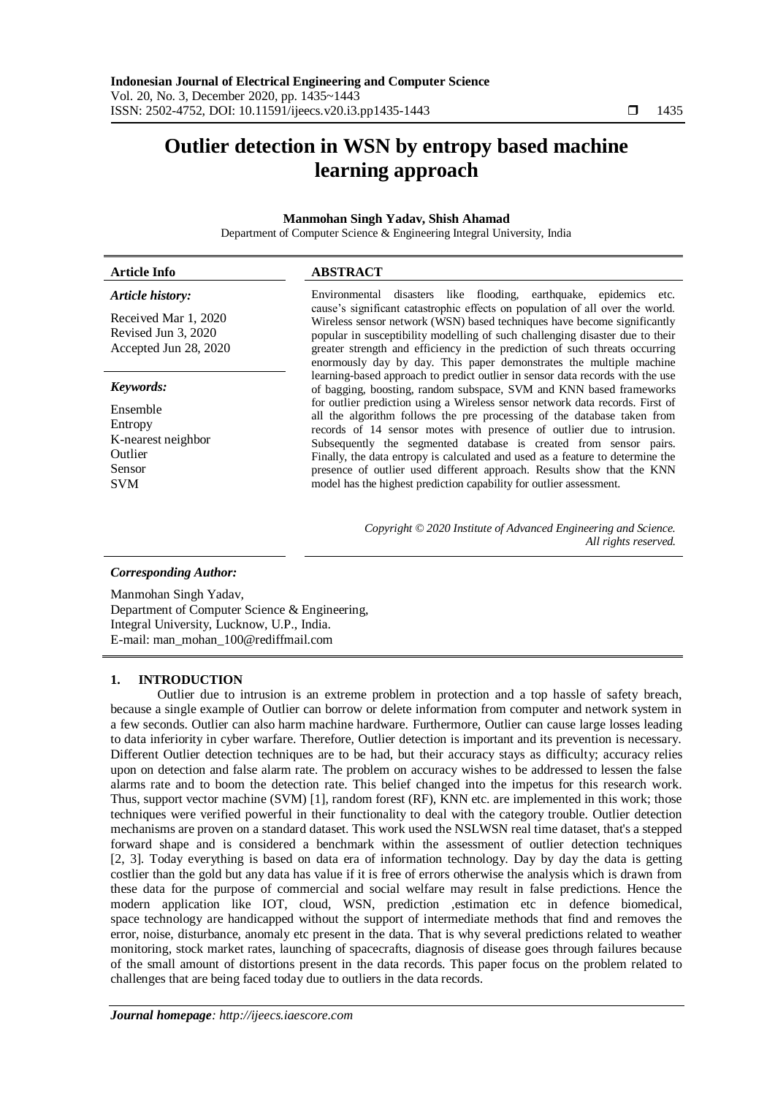# **Outlier detection in WSN by entropy based machine learning approach**

### **Manmohan Singh Yadav, Shish Ahamad**

Department of Computer Science & Engineering Integral University, India

#### **Article Info ABSTRACT** *Article history:* Received Mar 1, 2020 Revised Jun 3, 2020 Environmental disasters like flooding, earthquake, epidemics etc. cause's significant catastrophic effects on population of all over the world. Wireless sensor network (WSN) based techniques have become significantly

Accepted Jun 28, 2020

### *Keywords:*

Ensemble Entropy K-nearest neighbor Outlier Sensor SVM

popular in susceptibility modelling of such challenging disaster due to their greater strength and efficiency in the prediction of such threats occurring enormously day by day. This paper demonstrates the multiple machine learning-based approach to predict outlier in sensor data records with the use of bagging, boosting, random subspace, SVM and KNN based frameworks for outlier prediction using a Wireless sensor network data records. First of all the algorithm follows the pre processing of the database taken from records of 14 sensor motes with presence of outlier due to intrusion. Subsequently the segmented database is created from sensor pairs. Finally, the data entropy is calculated and used as a feature to determine the presence of outlier used different approach. Results show that the KNN model has the highest prediction capability for outlier assessment.

> *Copyright © 2020 Institute of Advanced Engineering and Science. All rights reserved.*

### *Corresponding Author:*

Manmohan Singh Yadav, Department of Computer Science & Engineering, Integral University, Lucknow, U.P., India. E-mail: man\_mohan\_100@rediffmail.com

### **1. INTRODUCTION**

Outlier due to intrusion is an extreme problem in protection and a top hassle of safety breach, because a single example of Outlier can borrow or delete information from computer and network system in a few seconds. Outlier can also harm machine hardware. Furthermore, Outlier can cause large losses leading to data inferiority in cyber warfare. Therefore, Outlier detection is important and its prevention is necessary. Different Outlier detection techniques are to be had, but their accuracy stays as difficulty; accuracy relies upon on detection and false alarm rate. The problem on accuracy wishes to be addressed to lessen the false alarms rate and to boom the detection rate. This belief changed into the impetus for this research work. Thus, support vector machine (SVM) [1], random forest (RF), KNN etc. are implemented in this work; those techniques were verified powerful in their functionality to deal with the category trouble. Outlier detection mechanisms are proven on a standard dataset. This work used the NSLWSN real time dataset, that's a stepped forward shape and is considered a benchmark within the assessment of outlier detection techniques [2, 3]. Today everything is based on data era of information technology. Day by day the data is getting costlier than the gold but any data has value if it is free of errors otherwise the analysis which is drawn from these data for the purpose of commercial and social welfare may result in false predictions. Hence the modern application like IOT, cloud, WSN, prediction ,estimation etc in defence biomedical, space technology are handicapped without the support of intermediate methods that find and removes the error, noise, disturbance, anomaly etc present in the data. That is why several predictions related to weather monitoring, stock market rates, launching of spacecrafts, diagnosis of disease goes through failures because of the small amount of distortions present in the data records. This paper focus on the problem related to challenges that are being faced today due to outliers in the data records.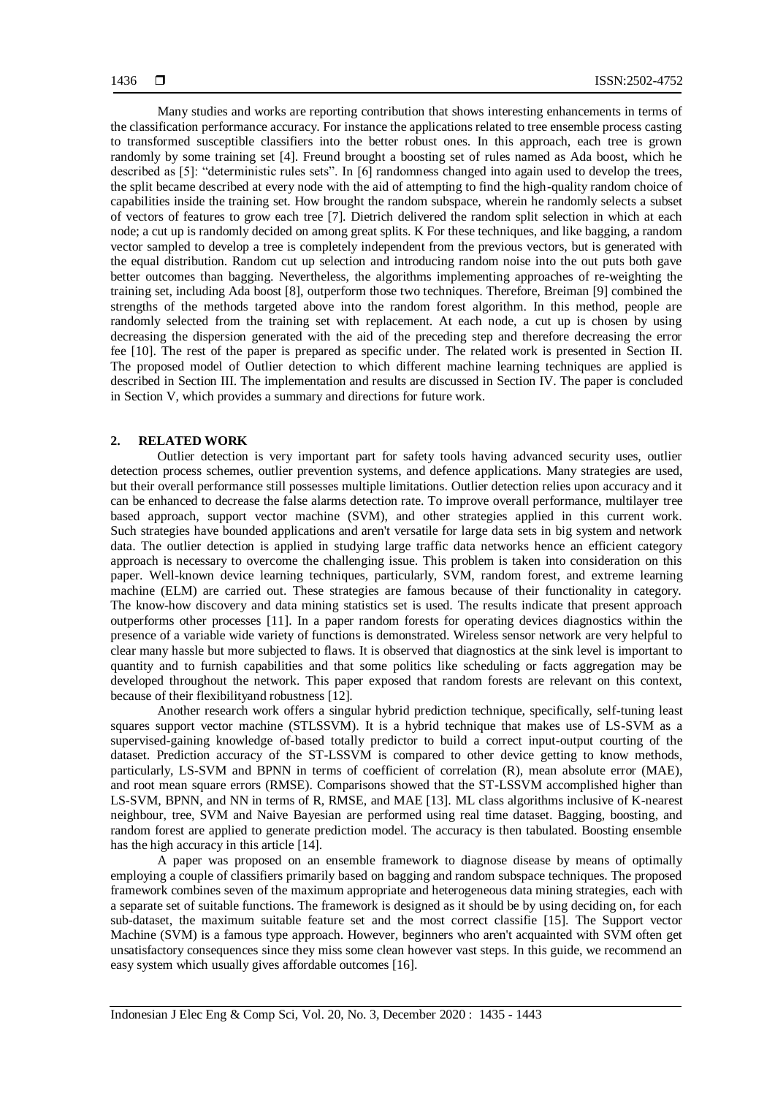Many studies and works are reporting contribution that shows interesting enhancements in terms of the classification performance accuracy. For instance the applications related to tree ensemble process casting to transformed susceptible classifiers into the better robust ones. In this approach, each tree is grown randomly by some training set [4]. Freund brought a boosting set of rules named as Ada boost, which he described as [5]: "deterministic rules sets". In [6] randomness changed into again used to develop the trees, the split became described at every node with the aid of attempting to find the high-quality random choice of capabilities inside the training set. How brought the random subspace, wherein he randomly selects a subset of vectors of features to grow each tree [7]. Dietrich delivered the random split selection in which at each node; a cut up is randomly decided on among great splits. K For these techniques, and like bagging, a random vector sampled to develop a tree is completely independent from the previous vectors, but is generated with the equal distribution. Random cut up selection and introducing random noise into the out puts both gave better outcomes than bagging. Nevertheless, the algorithms implementing approaches of re-weighting the training set, including Ada boost [8], outperform those two techniques. Therefore, Breiman [9] combined the strengths of the methods targeted above into the random forest algorithm. In this method, people are randomly selected from the training set with replacement. At each node, a cut up is chosen by using decreasing the dispersion generated with the aid of the preceding step and therefore decreasing the error fee [10]. The rest of the paper is prepared as specific under. The related work is presented in Section II. The proposed model of Outlier detection to which different machine learning techniques are applied is described in Section III. The implementation and results are discussed in Section IV. The paper is concluded in Section V, which provides a summary and directions for future work.

### **2. RELATED WORK**

Outlier detection is very important part for safety tools having advanced security uses, outlier detection process schemes, outlier prevention systems, and defence applications. Many strategies are used, but their overall performance still possesses multiple limitations. Outlier detection relies upon accuracy and it can be enhanced to decrease the false alarms detection rate. To improve overall performance, multilayer tree based approach, support vector machine (SVM), and other strategies applied in this current work. Such strategies have bounded applications and aren't versatile for large data sets in big system and network data. The outlier detection is applied in studying large traffic data networks hence an efficient category approach is necessary to overcome the challenging issue. This problem is taken into consideration on this paper. Well-known device learning techniques, particularly, SVM, random forest, and extreme learning machine (ELM) are carried out. These strategies are famous because of their functionality in category. The know-how discovery and data mining statistics set is used. The results indicate that present approach outperforms other processes [11]. In a paper random forests for operating devices diagnostics within the presence of a variable wide variety of functions is demonstrated. Wireless sensor network are very helpful to clear many hassle but more subjected to flaws. It is observed that diagnostics at the sink level is important to quantity and to furnish capabilities and that some politics like scheduling or facts aggregation may be developed throughout the network. This paper exposed that random forests are relevant on this context, because of their flexibilityand robustness [12].

Another research work offers a singular hybrid prediction technique, specifically, self-tuning least squares support vector machine (STLSSVM). It is a hybrid technique that makes use of LS-SVM as a supervised-gaining knowledge of-based totally predictor to build a correct input-output courting of the dataset. Prediction accuracy of the ST-LSSVM is compared to other device getting to know methods, particularly, LS-SVM and BPNN in terms of coefficient of correlation (R), mean absolute error (MAE), and root mean square errors (RMSE). Comparisons showed that the ST-LSSVM accomplished higher than LS-SVM, BPNN, and NN in terms of R, RMSE, and MAE [13]. ML class algorithms inclusive of K-nearest neighbour, tree, SVM and Naive Bayesian are performed using real time dataset. Bagging, boosting, and random forest are applied to generate prediction model. The accuracy is then tabulated. Boosting ensemble has the high accuracy in this article [14].

A paper was proposed on an ensemble framework to diagnose disease by means of optimally employing a couple of classifiers primarily based on bagging and random subspace techniques. The proposed framework combines seven of the maximum appropriate and heterogeneous data mining strategies, each with a separate set of suitable functions. The framework is designed as it should be by using deciding on, for each sub-dataset, the maximum suitable feature set and the most correct classifie [15]. The Support vector Machine (SVM) is a famous type approach. However, beginners who aren't acquainted with SVM often get unsatisfactory consequences since they miss some clean however vast steps. In this guide, we recommend an easy system which usually gives affordable outcomes [16].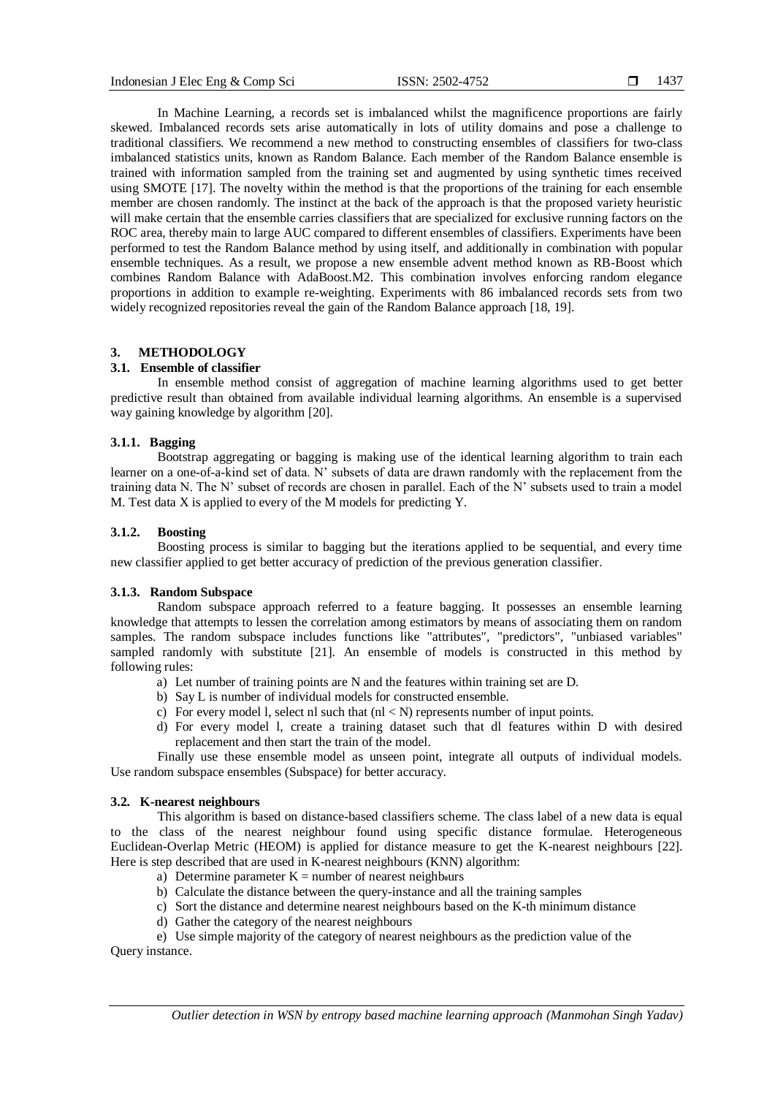In Machine Learning, a records set is imbalanced whilst the magnificence proportions are fairly skewed. Imbalanced records sets arise automatically in lots of utility domains and pose a challenge to traditional classifiers. We recommend a new method to constructing ensembles of classifiers for two-class imbalanced statistics units, known as Random Balance. Each member of the Random Balance ensemble is trained with information sampled from the training set and augmented by using synthetic times received using SMOTE [17]. The novelty within the method is that the proportions of the training for each ensemble member are chosen randomly. The instinct at the back of the approach is that the proposed variety heuristic will make certain that the ensemble carries classifiers that are specialized for exclusive running factors on the ROC area, thereby main to large AUC compared to different ensembles of classifiers. Experiments have been performed to test the Random Balance method by using itself, and additionally in combination with popular ensemble techniques. As a result, we propose a new ensemble advent method known as RB-Boost which combines Random Balance with AdaBoost.M2. This combination involves enforcing random elegance proportions in addition to example re-weighting. Experiments with 86 imbalanced records sets from two widely recognized repositories reveal the gain of the Random Balance approach [18, 19].

# **3. METHODOLOGY**

### **3.1. Ensemble of classifier**

In ensemble method consist of aggregation of machine learning algorithms used to get better predictive result than obtained from available individual learning algorithms. An ensemble is a supervised way gaining knowledge by algorithm [20].

### **3.1.1. Bagging**

Bootstrap aggregating or bagging is making use of the identical learning algorithm to train each learner on a one-of-a-kind set of data. N' subsets of data are drawn randomly with the replacement from the training data N. The N' subset of records are chosen in parallel. Each of the N' subsets used to train a model M. Test data X is applied to every of the M models for predicting Y.

### **3.1.2. Boosting**

Boosting process is similar to bagging but the iterations applied to be sequential, and every time new classifier applied to get better accuracy of prediction of the previous generation classifier.

### **3.1.3. Random Subspace**

Random subspace approach referred to a feature bagging. It possesses an ensemble learning knowledge that attempts to lessen the correlation among estimators by means of associating them on random samples. The random subspace includes functions like "attributes", "predictors", "unbiased variables" sampled randomly with substitute [21]. An ensemble of models is constructed in this method by following rules:

- a) Let number of training points are N and the features within training set are D.
- b) Say L is number of individual models for constructed ensemble.
- c) For every model 1, select nl such that  $(n < N)$  represents number of input points.
- d) For every model l, create a training dataset such that dl features within D with desired replacement and then start the train of the model.

Finally use these ensemble model as unseen point, integrate all outputs of individual models. Use random subspace ensembles (Subspace) for better accuracy.

#### **3.2. K-nearest neighbours**

This algorithm is based on distance-based classifiers scheme. The class label of a new data is equal to the class of the nearest neighbour found using specific distance formulae. Heterogeneous Euclidean-Overlap Metric (HEOM) is applied for distance measure to get the K-nearest neighbours [22]. Here is step described that are used in K-nearest neighbours (KNN) algorithm:

- a) Determine parameter  $K =$  number of nearest neighbours
- b) Calculate the distance between the query-instance and all the training samples
- c) Sort the distance and determine nearest neighbours based on the K-th minimum distance
- d) Gather the category of the nearest neighbours
- e) Use simple majority of the category of nearest neighbours as the prediction value of the

Query instance.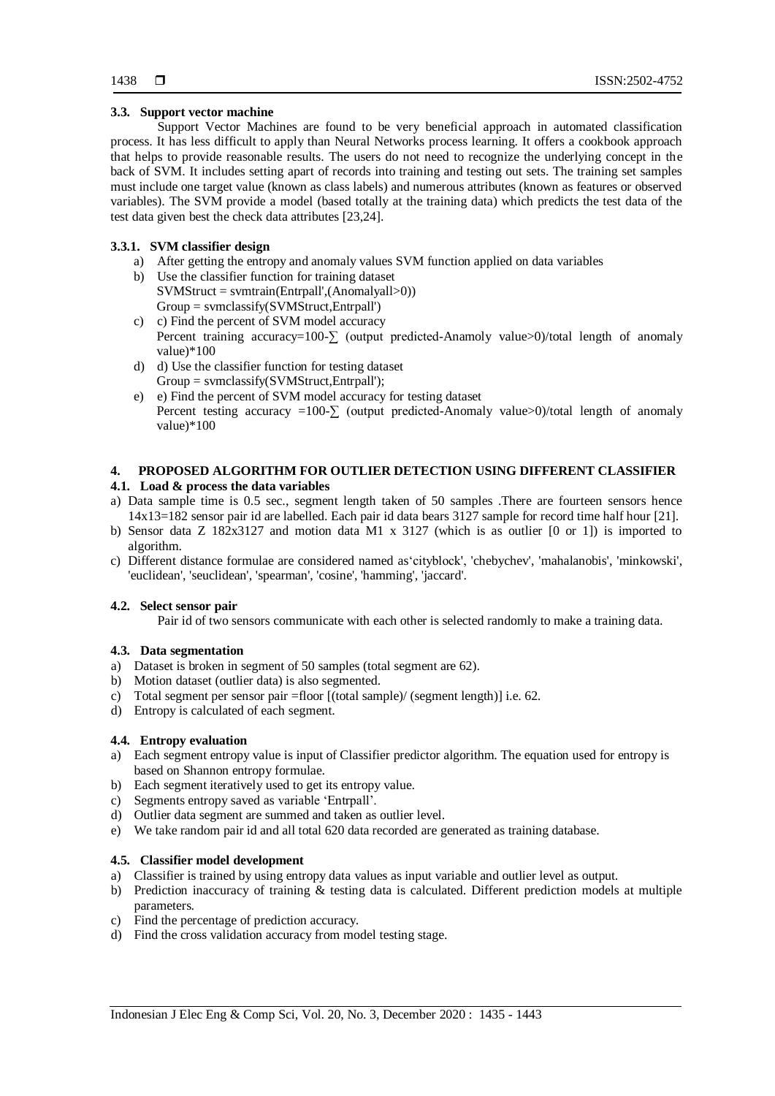## **3.3. Support vector machine**

Support Vector Machines are found to be very beneficial approach in automated classification process. It has less difficult to apply than Neural Networks process learning. It offers a cookbook approach that helps to provide reasonable results. The users do not need to recognize the underlying concept in the back of SVM. It includes setting apart of records into training and testing out sets. The training set samples must include one target value (known as class labels) and numerous attributes (known as features or observed variables). The SVM provide a model (based totally at the training data) which predicts the test data of the test data given best the check data attributes [23,24].

# **3.3.1. SVM classifier design**

- a) After getting the entropy and anomaly values SVM function applied on data variables
- b) Use the classifier function for training dataset SVMStruct = svmtrain(Entrpall',(Anomalyall>0)) Group = svmclassify(SVMStruct,Entrpall')
- c) c) Find the percent of SVM model accuracy Percent training accuracy=100-∑ (output predicted-Anamoly value>0)/total length of anomaly value)\*100
- d) d) Use the classifier function for testing dataset Group = svmclassify(SVMStruct,Entrpall');
- e) e) Find the percent of SVM model accuracy for testing dataset Percent testing accuracy =100- $\Sigma$  (output predicted-Anomaly value>0)/total length of anomaly value)\*100

## **4. PROPOSED ALGORITHM FOR OUTLIER DETECTION USING DIFFERENT CLASSIFIER**

## **4.1. Load & process the data variables**

- a) Data sample time is 0.5 sec., segment length taken of 50 samples .There are fourteen sensors hence 14x13=182 sensor pair id are labelled. Each pair id data bears 3127 sample for record time half hour [21].
- b) Sensor data Z 182x3127 and motion data M1 x 3127 (which is as outlier [0 or 1]) is imported to algorithm.
- c) Different distance formulae are considered named as'cityblock', 'chebychev', 'mahalanobis', 'minkowski', 'euclidean', 'seuclidean', 'spearman', 'cosine', 'hamming', 'jaccard'.

### **4.2. Select sensor pair**

Pair id of two sensors communicate with each other is selected randomly to make a training data.

# **4.3. Data segmentation**

- a) Dataset is broken in segment of 50 samples (total segment are 62).
- b) Motion dataset (outlier data) is also segmented.
- c) Total segment per sensor pair =floor [(total sample)/ (segment length)] i.e. 62.
- d) Entropy is calculated of each segment.

# **4.4. Entropy evaluation**

- a) Each segment entropy value is input of Classifier predictor algorithm. The equation used for entropy is based on Shannon entropy formulae.
- b) Each segment iteratively used to get its entropy value.
- c) Segments entropy saved as variable 'Entrpall'.
- d) Outlier data segment are summed and taken as outlier level.
- e) We take random pair id and all total 620 data recorded are generated as training database.

# **4.5. Classifier model development**

- a) Classifier is trained by using entropy data values as input variable and outlier level as output.
- b) Prediction inaccuracy of training & testing data is calculated. Different prediction models at multiple parameters.
- c) Find the percentage of prediction accuracy.
- d) Find the cross validation accuracy from model testing stage.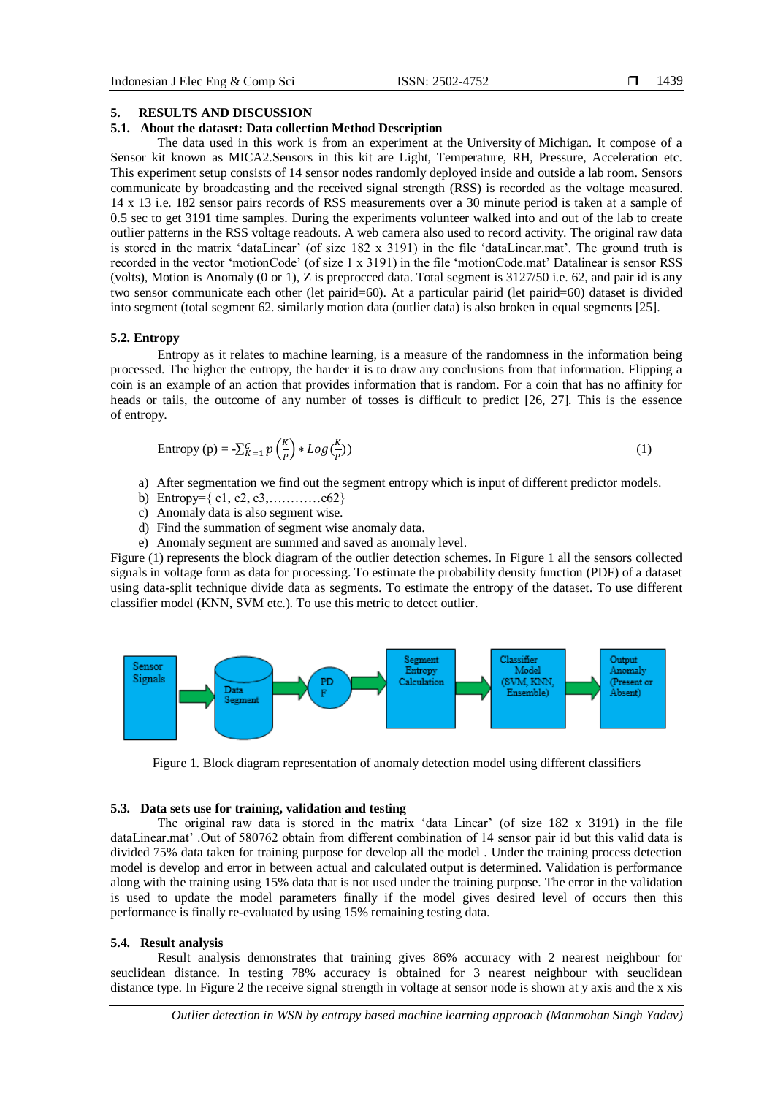#### **5. RESULTS AND DISCUSSION**

### **5.1. About the dataset: Data collection Method Description**

The data used in this work is from an experiment at the University of Michigan. It compose of a Sensor kit known as MICA2.Sensors in this kit are Light, Temperature, RH, Pressure, Acceleration etc. This experiment setup consists of 14 sensor nodes randomly deployed inside and outside a lab room. Sensors communicate by broadcasting and the received signal strength (RSS) is recorded as the voltage measured. 14 x 13 i.e. 182 sensor pairs records of RSS measurements over a 30 minute period is taken at a sample of 0.5 sec to get 3191 time samples. During the experiments volunteer walked into and out of the lab to create outlier patterns in the RSS voltage readouts. A web camera also used to record activity. The original raw data is stored in the matrix 'dataLinear' (of size 182 x 3191) in the file 'dataLinear.mat'. The ground truth is recorded in the vector 'motionCode' (of size 1 x 3191) in the file 'motionCode.mat' Datalinear is sensor RSS (volts), Motion is Anomaly (0 or 1), Z is preprocced data. Total segment is 3127/50 i.e. 62, and pair id is any two sensor communicate each other (let pairid=60). At a particular pairid (let pairid=60) dataset is divided into segment (total segment 62. similarly motion data (outlier data) is also broken in equal segments [25].

#### **5.2. Entropy**

Entropy as it relates to machine learning, is a measure of the randomness in the information being processed. The higher the entropy, the harder it is to draw any conclusions from that information. Flipping a coin is an example of an action that provides information that is random. For a coin that has no affinity for heads or tails, the outcome of any number of tosses is difficult to predict [26, 27]. This is the essence of entropy.

Entropy (p) = 
$$
-\sum_{K=1}^{C} p\left(\frac{K}{p}\right) * Log\left(\frac{K}{p}\right)
$$
 (1)

- a) After segmentation we find out the segment entropy which is input of different predictor models.
- b) Entropy= $\{e1, e2, e3, \ldots, e62\}$
- c) Anomaly data is also segment wise.
- d) Find the summation of segment wise anomaly data.
- e) Anomaly segment are summed and saved as anomaly level.

Figure (1) represents the block diagram of the outlier detection schemes. In Figure 1 all the sensors collected signals in voltage form as data for processing. To estimate the probability density function (PDF) of a dataset using data-split technique divide data as segments. To estimate the entropy of the dataset. To use different classifier model (KNN, SVM etc.). To use this metric to detect outlier.



Figure 1. Block diagram representation of anomaly detection model using different classifiers

### **5.3. Data sets use for training, validation and testing**

The original raw data is stored in the matrix 'data Linear' (of size 182 x 3191) in the file dataLinear.mat' .Out of 580762 obtain from different combination of 14 sensor pair id but this valid data is divided 75% data taken for training purpose for develop all the model . Under the training process detection model is develop and error in between actual and calculated output is determined. Validation is performance along with the training using 15% data that is not used under the training purpose. The error in the validation is used to update the model parameters finally if the model gives desired level of occurs then this performance is finally re-evaluated by using 15% remaining testing data.

#### **5.4. Result analysis**

Result analysis demonstrates that training gives 86% accuracy with 2 nearest neighbour for seuclidean distance. In testing 78% accuracy is obtained for 3 nearest neighbour with seuclidean distance type. In Figure 2 the receive signal strength in voltage at sensor node is shown at y axis and the x xis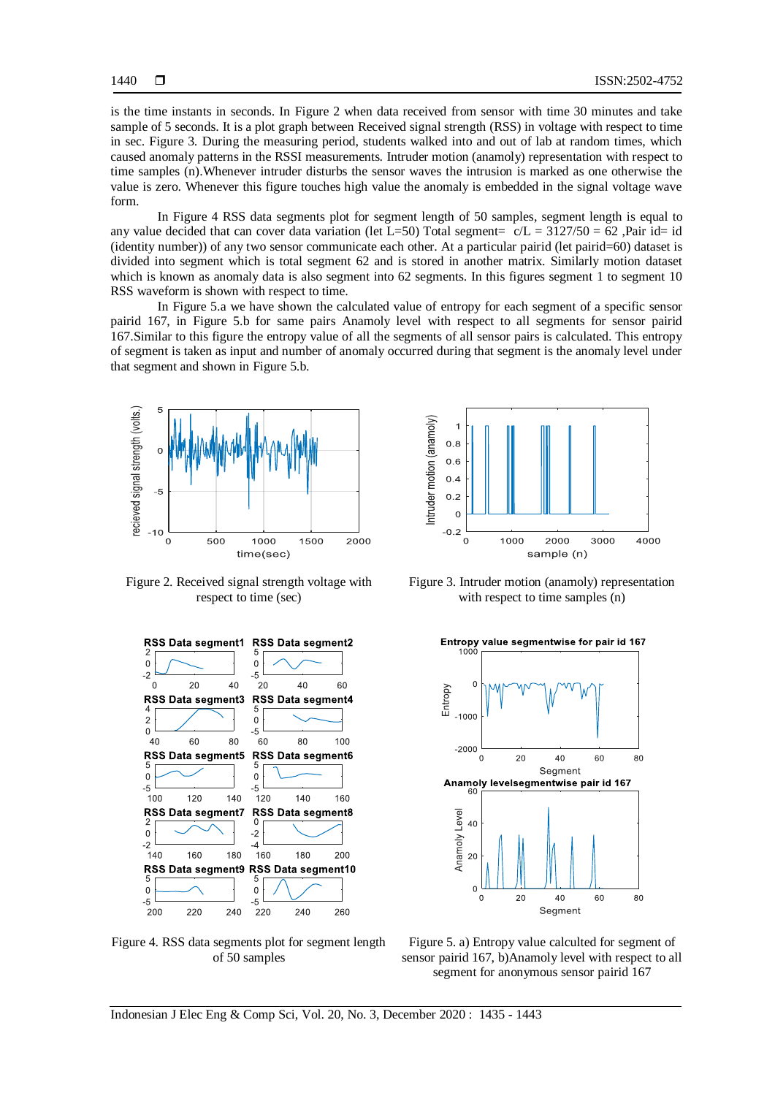is the time instants in seconds. In Figure 2 when data received from sensor with time 30 minutes and take sample of 5 seconds. It is a plot graph between Received signal strength (RSS) in voltage with respect to time in sec. Figure 3. During the measuring period, students walked into and out of lab at random times, which caused anomaly patterns in the RSSI measurements. Intruder motion (anamoly) representation with respect to time samples (n).Whenever intruder disturbs the sensor waves the intrusion is marked as one otherwise the value is zero. Whenever this figure touches high value the anomaly is embedded in the signal voltage wave form.

In Figure 4 RSS data segments plot for segment length of 50 samples, segment length is equal to any value decided that can cover data variation (let  $L=50$ ) Total segment=  $c/L = 3127/50 = 62$ , Pair id= id (identity number)) of any two sensor communicate each other. At a particular pairid (let pairid=60) dataset is divided into segment which is total segment 62 and is stored in another matrix. Similarly motion dataset which is known as anomaly data is also segment into 62 segments. In this figures segment 1 to segment 10 RSS waveform is shown with respect to time.

In Figure 5.a we have shown the calculated value of entropy for each segment of a specific sensor pairid 167, in Figure 5.b for same pairs Anamoly level with respect to all segments for sensor pairid 167.Similar to this figure the entropy value of all the segments of all sensor pairs is calculated. This entropy of segment is taken as input and number of anomaly occurred during that segment is the anomaly level under that segment and shown in Figure 5.b.



Figure 2. Received signal strength voltage with respect to time (sec)



Figure 4. RSS data segments plot for segment length of 50 samples



Figure 3. Intruder motion (anamoly) representation with respect to time samples (n)



Figure 5. a) Entropy value calculted for segment of sensor pairid 167, b)Anamoly level with respect to all segment for anonymous sensor pairid 167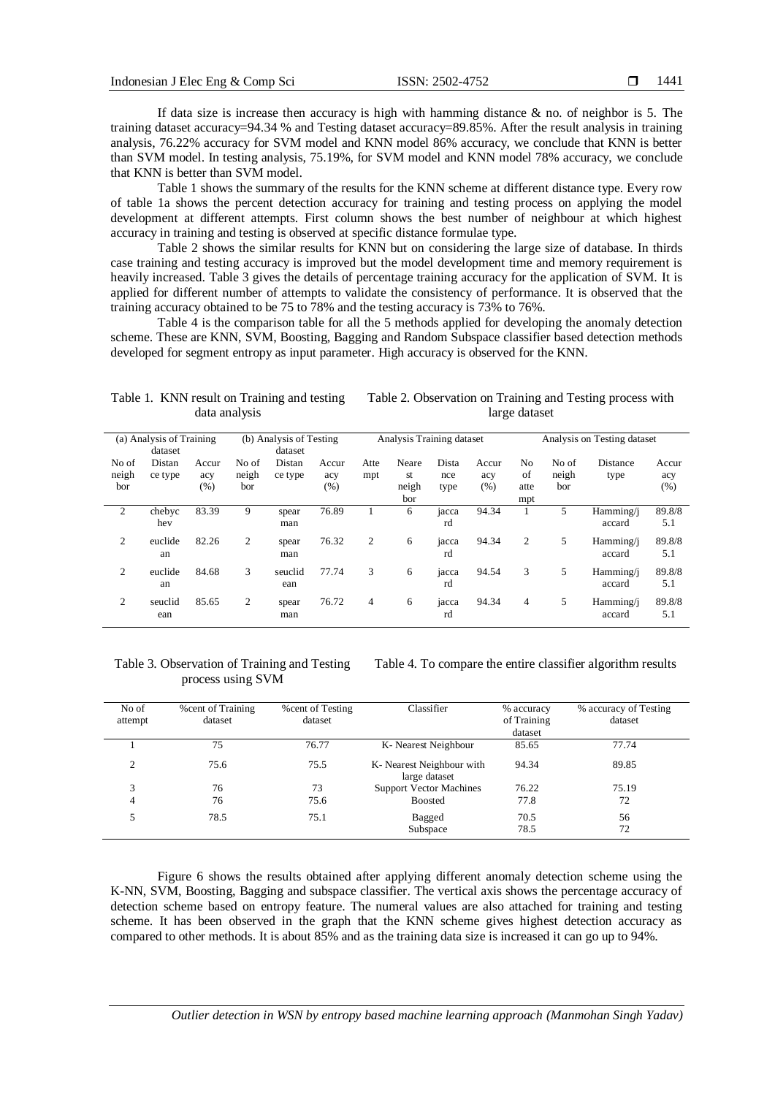If data size is increase then accuracy is high with hamming distance  $\&$  no. of neighbor is 5. The training dataset accuracy=94.34 % and Testing dataset accuracy=89.85%. After the result analysis in training analysis, 76.22% accuracy for SVM model and KNN model 86% accuracy, we conclude that KNN is better than SVM model. In testing analysis, 75.19%, for SVM model and KNN model 78% accuracy, we conclude that KNN is better than SVM model.

Table 1 shows the summary of the results for the KNN scheme at different distance type. Every row of table 1a shows the percent detection accuracy for training and testing process on applying the model development at different attempts. First column shows the best number of neighbour at which highest accuracy in training and testing is observed at specific distance formulae type.

Table 2 shows the similar results for KNN but on considering the large size of database. In thirds case training and testing accuracy is improved but the model development time and memory requirement is heavily increased. Table 3 gives the details of percentage training accuracy for the application of SVM. It is applied for different number of attempts to validate the consistency of performance. It is observed that the training accuracy obtained to be 75 to 78% and the testing accuracy is 73% to 76%.

Table 4 is the comparison table for all the 5 methods applied for developing the anomaly detection scheme. These are KNN, SVM, Boosting, Bagging and Random Subspace classifier based detection methods developed for segment entropy as input parameter. High accuracy is observed for the KNN.

| (a) Analysis of Training<br>dataset |                   |                      | (b) Analysis of Testing<br>dataset |                   |                     | Analysis Training dataset |                             |                      |                      | Analysis on Testing dataset |                       |                     |                     |
|-------------------------------------|-------------------|----------------------|------------------------------------|-------------------|---------------------|---------------------------|-----------------------------|----------------------|----------------------|-----------------------------|-----------------------|---------------------|---------------------|
| No of<br>neigh<br>bor               | Distan<br>ce type | Accur<br>acy<br>(% ) | No of<br>neigh<br>bor              | Distan<br>ce type | Accur<br>acy<br>(%) | Atte<br>mpt               | Neare<br>st<br>neigh<br>bor | Dista<br>nce<br>type | Accur<br>acy<br>(% ) | No<br>of<br>atte<br>mpt     | No of<br>neigh<br>bor | Distance<br>type    | Accur<br>acy<br>(%) |
| $\overline{2}$                      | chebyc<br>hev     | 83.39                | 9                                  | spear<br>man      | 76.89               |                           | 6                           | jacca<br>rd          | 94.34                |                             | 5                     | Hamming/j<br>accard | 89.8/8<br>5.1       |
| 2                                   | euclide<br>an     | 82.26                | 2                                  | spear<br>man      | 76.32               | 2                         | 6                           | jacca<br>rd          | 94.34                | 2                           | 5                     | Hamming/i<br>accard | 89.8/8<br>5.1       |
| 2                                   | euclide<br>an     | 84.68                | 3                                  | seuclid<br>ean    | 77.74               | 3                         | 6                           | jacca<br>rd          | 94.54                | 3                           | 5                     | Hamming/i<br>accard | 89.8/8<br>5.1       |
| $\overline{c}$                      | seuclid<br>ean    | 85.65                | $\overline{2}$                     | spear<br>man      | 76.72               | 4                         | 6                           | jacca<br>rd          | 94.34                | 4                           | 5                     | Hamming/j<br>accard | 89.8/8<br>5.1       |

#### Table 1. KNN result on Training and testing data analysis

#### Table 3. Observation of Training and Testing process using SVM

Table 4. To compare the entire classifier algorithm results

Table 2. Observation on Training and Testing process with large dataset

| No of<br>attempt | <b>% cent of Training</b><br>dataset | <b>% cent of Testing</b><br>dataset | Classifier                                 | % accuracy<br>of Training<br>dataset | % accuracy of Testing<br>dataset |
|------------------|--------------------------------------|-------------------------------------|--------------------------------------------|--------------------------------------|----------------------------------|
|                  | 75                                   | 76.77                               | K-Nearest Neighbour                        | 85.65                                | 77.74                            |
| ◠                | 75.6                                 | 75.5                                | K- Nearest Neighbour with<br>large dataset | 94.34                                | 89.85                            |
| 3                | 76                                   | 73                                  | <b>Support Vector Machines</b>             | 76.22                                | 75.19                            |
| 4                | 76                                   | 75.6                                | <b>Boosted</b>                             | 77.8                                 | 72                               |
|                  | 78.5                                 | 75.1                                | Bagged<br>Subspace                         | 70.5<br>78.5                         | 56<br>72                         |

Figure 6 shows the results obtained after applying different anomaly detection scheme using the K-NN, SVM, Boosting, Bagging and subspace classifier. The vertical axis shows the percentage accuracy of detection scheme based on entropy feature. The numeral values are also attached for training and testing scheme. It has been observed in the graph that the KNN scheme gives highest detection accuracy as compared to other methods. It is about 85% and as the training data size is increased it can go up to 94%.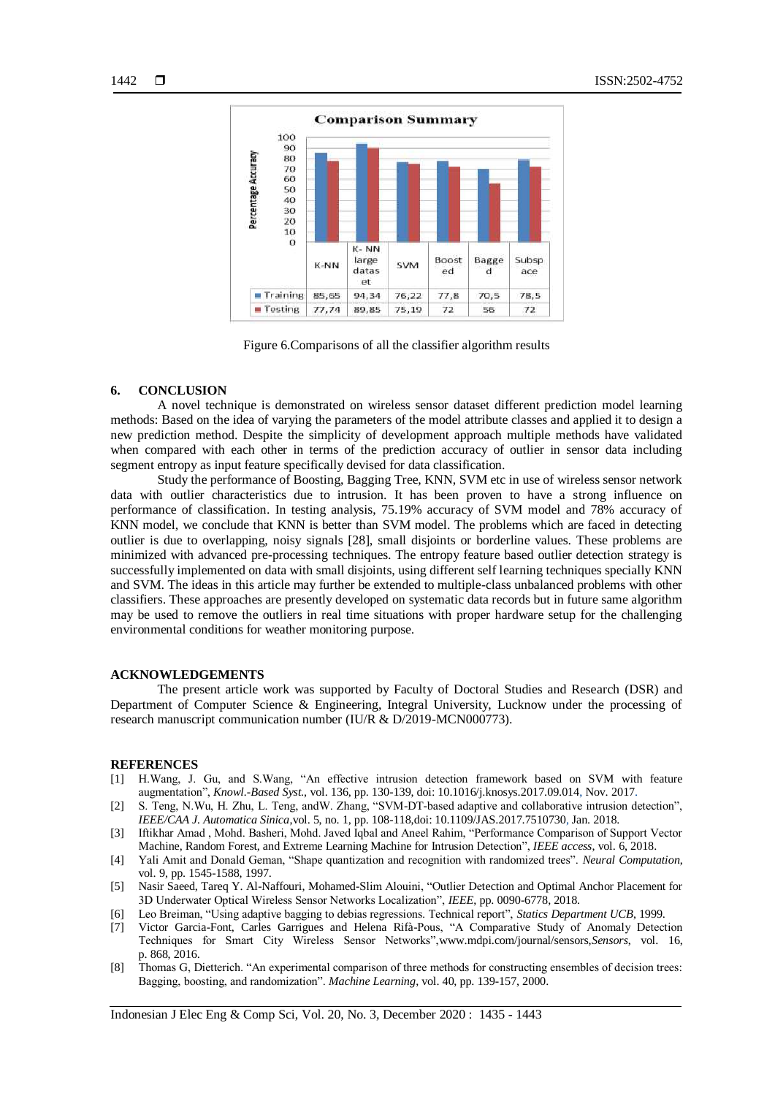

Figure 6.Comparisons of all the classifier algorithm results

### **6. CONCLUSION**

A novel technique is demonstrated on wireless sensor dataset different prediction model learning methods: Based on the idea of varying the parameters of the model attribute classes and applied it to design a new prediction method. Despite the simplicity of development approach multiple methods have validated when compared with each other in terms of the prediction accuracy of outlier in sensor data including segment entropy as input feature specifically devised for data classification.

Study the performance of Boosting, Bagging Tree, KNN, SVM etc in use of wireless sensor network data with outlier characteristics due to intrusion. It has been proven to have a strong influence on performance of classification. In testing analysis, 75.19% accuracy of SVM model and 78% accuracy of KNN model, we conclude that KNN is better than SVM model. The problems which are faced in detecting outlier is due to overlapping, noisy signals [28], small disjoints or borderline values. These problems are minimized with advanced pre-processing techniques. The entropy feature based outlier detection strategy is successfully implemented on data with small disjoints, using different self learning techniques specially KNN and SVM. The ideas in this article may further be extended to multiple-class unbalanced problems with other classifiers. These approaches are presently developed on systematic data records but in future same algorithm may be used to remove the outliers in real time situations with proper hardware setup for the challenging environmental conditions for weather monitoring purpose.

#### **ACKNOWLEDGEMENTS**

The present article work was supported by Faculty of Doctoral Studies and Research (DSR) and Department of Computer Science & Engineering, Integral University, Lucknow under the processing of research manuscript communication number (IU/R & D/2019-MCN000773).

#### **REFERENCES**

- [1] H.Wang, J. Gu, and S.Wang, "An effective intrusion detection framework based on SVM with feature augmentation", *Knowl.-Based Syst.*, vol. 136, pp. 130-139, doi: 10.1016/j.knosys.2017.09.014, Nov. 2017.
- [2] S. Teng, N.Wu, H. Zhu, L. Teng, andW. Zhang, "SVM-DT-based adaptive and collaborative intrusion detection", *IEEE/CAA J. Automatica Sinica*,vol. 5, no. 1, pp. 108-118,doi: 10.1109/JAS.2017.7510730, Jan. 2018.
- [3] Iftikhar Amad , Mohd. Basheri, Mohd. Javed Iqbal and Aneel Rahim, "Performance Comparison of Support Vector Machine, Random Forest, and Extreme Learning Machine for Intrusion Detection", *IEEE access*, vol. 6, 2018.
- [4] Yali Amit and Donald Geman, "Shape quantization and recognition with randomized trees". *Neural Computation*, vol. 9, pp. 1545-1588, 1997.
- [5] Nasir Saeed, Tareq Y. Al-Naffouri, Mohamed-Slim Alouini, "Outlier Detection and Optimal Anchor Placement for 3D Underwater Optical Wireless Sensor Networks Localization", *IEEE*, pp. 0090-6778, 2018.
- [6] Leo Breiman, "Using adaptive bagging to debias regressions. Technical report", *Statics Department UCB*, 1999.
- [7] Victor Garcia-Font, Carles Garrigues and Helena Rifà-Pous, "A Comparative Study of Anomaly Detection Techniques for Smart City Wireless Sensor Networks",www.mdpi.com/journal/sensors,*Sensors*, vol. 16, p. 868, 2016.
- [8] Thomas G, Dietterich. "An experimental comparison of three methods for constructing ensembles of decision trees: Bagging, boosting, and randomization". *Machine Learning*, vol. 40, pp. 139-157, 2000.